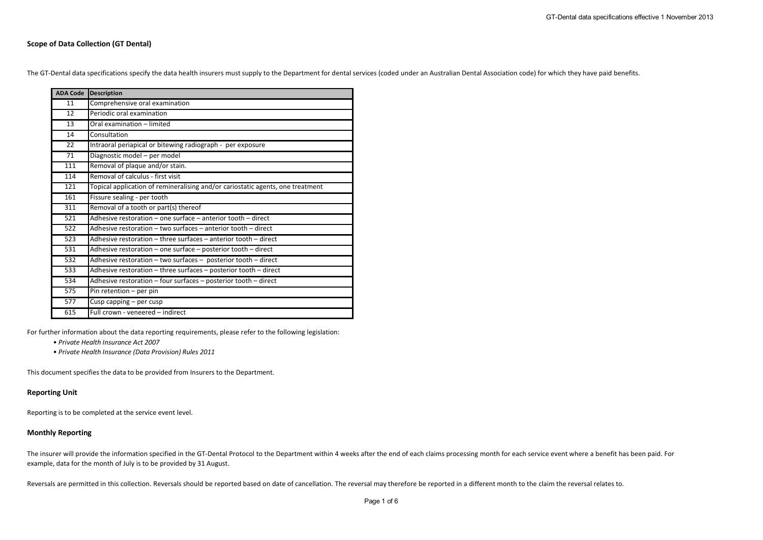# **Scope of Data Collection (GT Dental)**

The GT-Dental data specifications specify the data health insurers must supply to the Department for dental services (coded under an Australian Dental Association code) for which they have paid benefits.

| <b>ADA Code</b> | <b>Description</b>                                                             |
|-----------------|--------------------------------------------------------------------------------|
| 11              | Comprehensive oral examination                                                 |
| 12              | Periodic oral examination                                                      |
| 13              | Oral examination - limited                                                     |
| 14              | Consultation                                                                   |
| 22              | Intraoral periapical or bitewing radiograph - per exposure                     |
| 71              | Diagnostic model - per model                                                   |
| 111             | Removal of plaque and/or stain.                                                |
| 114             | Removal of calculus - first visit                                              |
| 121             | Topical application of remineralising and/or cariostatic agents, one treatment |
| 161             | Fissure sealing - per tooth                                                    |
| 311             | Removal of a tooth or part(s) thereof                                          |
| 521             | Adhesive restoration - one surface - anterior tooth - direct                   |
| 522             | Adhesive restoration - two surfaces - anterior tooth - direct                  |
| 523             | Adhesive restoration – three surfaces – anterior tooth – direct                |
| 531             | Adhesive restoration - one surface - posterior tooth - direct                  |
| 532             | Adhesive restoration - two surfaces - posterior tooth - direct                 |
| 533             | Adhesive restoration - three surfaces - posterior tooth - direct               |
| 534             | Adhesive restoration - four surfaces - posterior tooth - direct                |
| 575             | Pin retention - per pin                                                        |
| 577             | Cusp capping - per cusp                                                        |
| 615             | Full crown - veneered - indirect                                               |

For further information about the data reporting requirements, please refer to the following legislation:

- *Private Health Insurance Act 2007*
- *Private Health Insurance (Data Provision) Rules 2011*

This document specifies the data to be provided from Insurers to the Department.

#### **Reporting Unit**

Reporting is to be completed at the service event level.

# **Monthly Reporting**

The insurer will provide the information specified in the GT-Dental Protocol to the Department within 4 weeks after the end of each claims processing month for each service event where a benefit has been paid. For example, data for the month of July is to be provided by 31 August.

Reversals are permitted in this collection. Reversals should be reported based on date of cancellation. The reversal may therefore be reported in a different month to the claim the reversal relates to.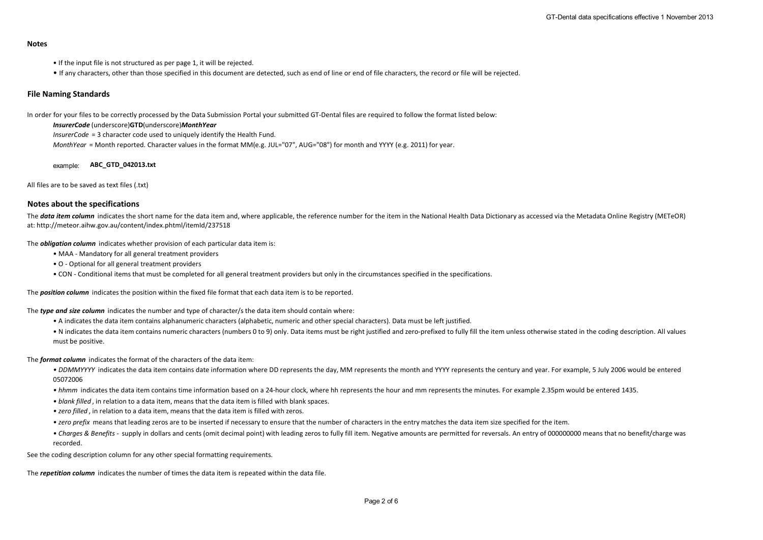### **Notes**

- If the input file is not structured as per page 1, it will be rejected.
- If any characters, other than those specified in this document are detected, such as end of line or end of file characters, the record or file will be rejected.

### **File Naming Standards**

In order for your files to be correctly processed by the Data Submission Portal your submitted GT-Dental files are required to follow the format listed below:

*InsurerCode* (underscore)**GTD**(underscore)*MonthYear*

*InsurerCode* = 3 character code used to uniquely identify the Health Fund.

*MonthYear* = Month reported. Character values in the format MM(e.g. JUL="07", AUG="08") for month and YYYY (e.g. 2011) for year.

example: **ABC\_GTD\_042013.txt**

All files are to be saved as text files (.txt)

### **Notes about the specifications**

The **data item column** indicates the short name for the data item and, where applicable, the reference number for the item in the National Health Data Dictionary as accessed via the Metadata Online Registry (METeOR) at: http://meteor.aihw.gov.au/content/index.phtml/itemId/237518

The *obligation column* indicates whether provision of each particular data item is:

- MAA Mandatory for all general treatment providers
- O Optional for all general treatment providers
- CON Conditional items that must be completed for all general treatment providers but only in the circumstances specified in the specifications.

The *position column* indicates the position within the fixed file format that each data item is to be reported.

The *type and size column* indicates the number and type of character/s the data item should contain where:

- A indicates the data item contains alphanumeric characters (alphabetic, numeric and other special characters). Data must be left justified.
- N indicates the data item contains numeric characters (numbers 0 to 9) only. Data items must be right justified and zero-prefixed to fully fill the item unless otherwise stated in the coding description. All values must be positive.

The *format column* indicates the format of the characters of the data item:

- *DDMMYYYY* indicates the data item contains date information where DD represents the day, MM represents the month and YYYY represents the century and year. For example, 5 July 2006 would be entered 05072006
- hhmm indicates the data item contains time information based on a 24-hour clock, where hh represents the hour and mm represents the minutes. For example 2.35pm would be entered 1435.
- *blank filled* , in relation to a data item, means that the data item is filled with blank spaces.
- *zero filled* , in relation to a data item, means that the data item is filled with zeros.
- *zero prefix* means that leading zeros are to be inserted if necessary to ensure that the number of characters in the entry matches the data item size specified for the item.
- *Charges & Benefits* supply in dollars and cents (omit decimal point) with leading zeros to fully fill item. Negative amounts are permitted for reversals. An entry of 000000000 means that no benefit/charge was recorded.

See the coding description column for any other special formatting requirements.

The *repetition column* indicates the number of times the data item is repeated within the data file.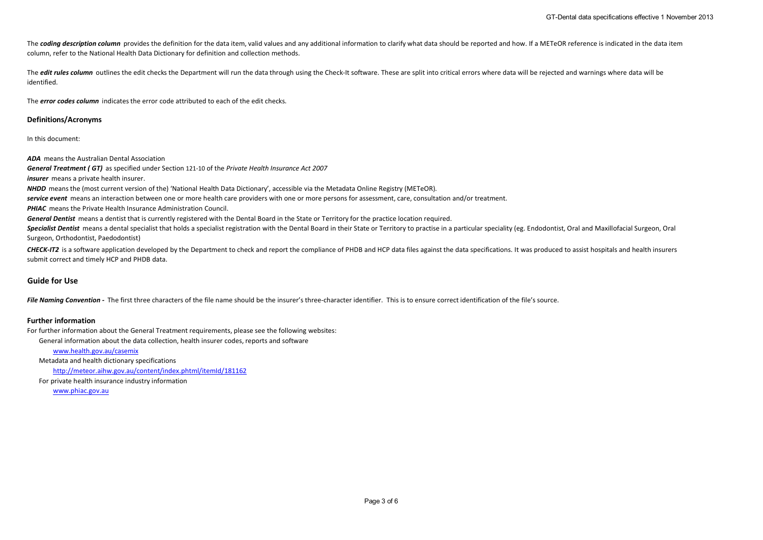The **coding description column** provides the definition for the data item, valid values and any additional information to clarify what data should be reported and how. If a METeOR reference is indicated in the data item column, refer to the National Health Data Dictionary for definition and collection methods.

The *edit rules column* outlines the edit checks the Department will run the data through using the Check-It software. These are split into critical errors where data will be rejected and warnings where data will be identified.

The *error codes column* indicates the error code attributed to each of the edit checks.

### **Definitions/Acronyms**

In this document:

*ADA* means the Australian Dental Association

*General Treatment ( GT)* as specified under Section 121-10 of the *Private Health Insurance Act 2007*

*insurer* means a private health insurer.

*NHDD* means the (most current version of the) 'National Health Data Dictionary', accessible via the Metadata Online Registry (METeOR).

*service event* means an interaction between one or more health care providers with one or more persons for assessment, care, consultation and/or treatment.

**PHIAC** means the Private Health Insurance Administration Council.

*General Dentist* means a dentist that is currently registered with the Dental Board in the State or Territory for the practice location required.

Specialist Dentist means a dental specialist that holds a specialist registration with the Dental Board in their State or Territory to practise in a particular speciality (eg. Endodontist, Oral and Maxillofacial Surgeon, O Surgeon, Orthodontist, Paedodontist)

**CHECK-IT2** is a software application developed by the Department to check and report the compliance of PHDB and HCP data files against the data specifications. It was produced to assist hospitals and health insurers submit correct and timely HCP and PHDB data.

# **Guide for Use**

File Naming Convention - The first three characters of the file name should be the insurer's three-character identifier. This is to ensure correct identification of the file's source.

### **Further information**

For further information about the General Treatment requirements, please see the following websites:

General information about the data collection, health insurer codes, reports and software

www.health.gov.au/casemix

Metadata and health dictionary specifications

http://meteor.aihw.gov.au/content/index.phtml/itemId/181162

For private health insurance industry information

www.phiac.gov.au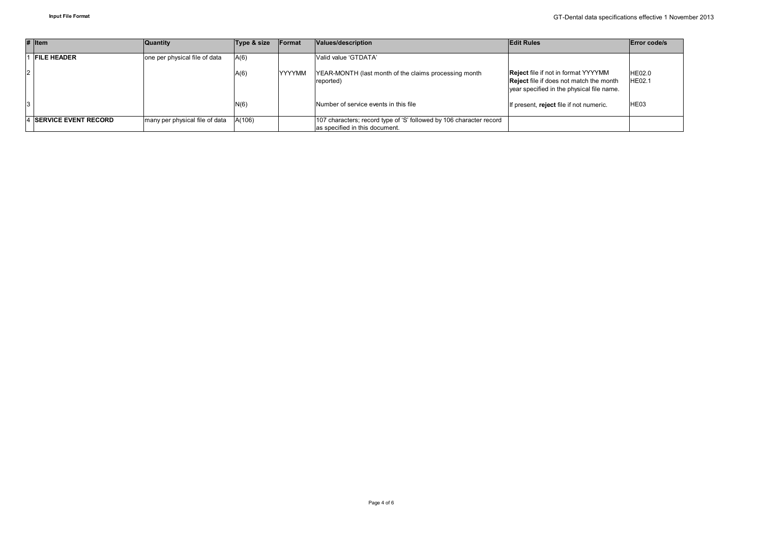|                | $#$ Item                       | <b>Quantity</b>                | Type & size | <b>IFormat</b> | Values/description                                                                                    | <b>Edit Rules</b>                                                                                                                  | <b>Error code/s</b>            |
|----------------|--------------------------------|--------------------------------|-------------|----------------|-------------------------------------------------------------------------------------------------------|------------------------------------------------------------------------------------------------------------------------------------|--------------------------------|
|                | 1 FILE HEADER                  | one per physical file of data  | A(6)        |                | Valid value 'GTDATA'                                                                                  |                                                                                                                                    |                                |
| $\overline{2}$ |                                |                                | A(6)        | <b>YYYYMM</b>  | YEAR-MONTH (last month of the claims processing month<br>reported)                                    | <b>Reject</b> file if not in format YYYYMM<br>Reject file if does not match the month<br>year specified in the physical file name. | <b>HE02.0</b><br><b>HE02.1</b> |
|                |                                |                                | N(6)        |                | Number of service events in this file                                                                 | If present, reject file if not numeric.                                                                                            | HE03                           |
|                | <b>4 ISERVICE EVENT RECORD</b> | many per physical file of data | A(106)      |                | 107 characters; record type of 'S' followed by 106 character record<br>as specified in this document. |                                                                                                                                    |                                |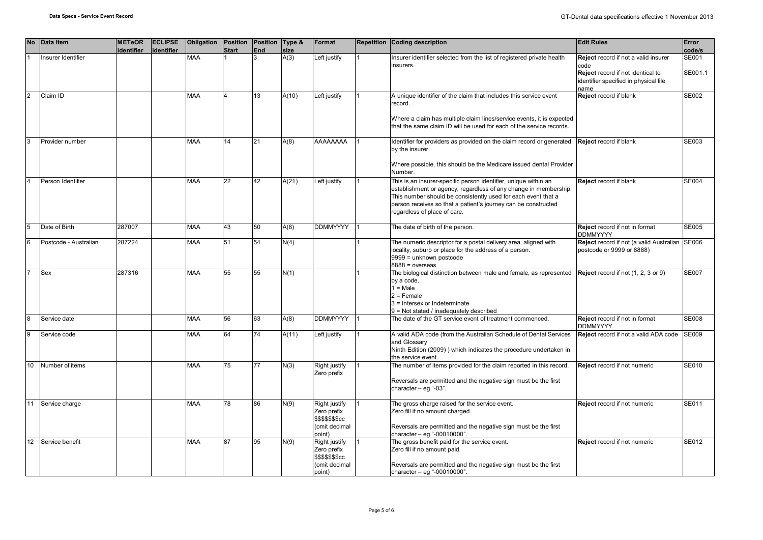| <b>No</b>      | Data Item             | <b>METeOR</b><br>identifier | <b>ECLIPSE</b><br>identifier | Obligation | <b>Start</b>     | Position Position Type &<br><b>End</b> | size  | Format                                                                      | Repetition Coding description                                                                                                                                                                                                                                                                          | <b>Edit Rules</b>                                                                                                                  | Error<br>code/s         |
|----------------|-----------------------|-----------------------------|------------------------------|------------|------------------|----------------------------------------|-------|-----------------------------------------------------------------------------|--------------------------------------------------------------------------------------------------------------------------------------------------------------------------------------------------------------------------------------------------------------------------------------------------------|------------------------------------------------------------------------------------------------------------------------------------|-------------------------|
|                | Insurer Identifier    |                             |                              | <b>MAA</b> |                  |                                        | A(3)  | Left justify                                                                | Insurer identifier selected from the list of registered private health<br>insurers.                                                                                                                                                                                                                    | Reject record if not a valid insurer<br>code<br>Reject record if not identical to<br>identifier specified in physical file<br>name | <b>SE001</b><br>SE001.1 |
| $\overline{2}$ | Claim ID              |                             |                              | <b>MAA</b> |                  | 13                                     | A(10) | Left justify                                                                | A unique identifier of the claim that includes this service event<br>record.<br>Where a claim has multiple claim lines/service events, it is expected<br>that the same claim ID will be used for each of the service records.                                                                          | Reject record if blank                                                                                                             | <b>SE002</b>            |
| 3              | Provider number       |                             |                              | <b>MAA</b> | 14               | 21                                     | A(8)  | AAAAAAAA                                                                    | Identifier for providers as provided on the claim record or generated<br>by the insurer.<br>Where possible, this should be the Medicare issued dental Provider<br>Number.                                                                                                                              | <b>Reject</b> record if blank                                                                                                      | SE003                   |
| $\overline{4}$ | Person Identifier     |                             |                              | <b>MAA</b> | $22\overline{ }$ | 42                                     | A(21) | Left justify                                                                | This is an insurer-specific person identifier, unique within an<br>establishment or agency, regardless of any change in membership.<br>This number should be consistently used for each event that a<br>person receives so that a patient's journey can be constructed<br>regardless of place of care. | Reject record if blank                                                                                                             | <b>SE004</b>            |
| $\overline{5}$ | Date of Birth         | 287007                      |                              | <b>MAA</b> | 43               | 50                                     | A(8)  | <b>DDMMYYYY</b>                                                             | The date of birth of the person.                                                                                                                                                                                                                                                                       | Reject record if not in format<br><b>DDMMYYYY</b>                                                                                  | <b>SE005</b>            |
| 6              | Postcode - Australian | 287224                      |                              | <b>MAA</b> | 51               | 54                                     | N(4)  |                                                                             | The numeric descriptor for a postal delivery area, aligned with<br>locality, suburb or place for the address of a person.<br>9999 = unknown postcode<br>$8888 = 0$ verseas                                                                                                                             | Reject record if not (a valid Australian SE006<br>postcode or 9999 or 8888)                                                        |                         |
|                | Sex                   | 287316                      |                              | <b>MAA</b> | 55               | 55                                     | N(1)  |                                                                             | The biological distinction between male and female, as represented<br>by a code.<br>$1 = Male$<br>$2$ = Female<br>3 = Intersex or Indeterminate<br>9 = Not stated / inadequately described                                                                                                             | <b>Reject</b> record if not (1, 2, 3 or 9)                                                                                         | <b>SE007</b>            |
| $\overline{8}$ | Service date          |                             |                              | <b>MAA</b> | 56               | 63                                     | A(8)  | <b>DDMMYYYY</b>                                                             | The date of the GT service event of treatment commenced.                                                                                                                                                                                                                                               | Reject record if not in format<br><b>DDMMYYYY</b>                                                                                  | <b>SE008</b>            |
| 9              | Service code          |                             |                              | <b>MAA</b> | 64               | 74                                     | A(11) | Left justify                                                                | A valid ADA code (from the Australian Schedule of Dental Services<br>and Glossary<br>Ninth Edition (2009) ) which indicates the procedure undertaken in<br>the service event.                                                                                                                          | <b>Reject</b> record if not a valid ADA code                                                                                       | <b>SE009</b>            |
| 10             | Number of items       |                             |                              | <b>MAA</b> | 75               | 77                                     | N(3)  | Right justify<br>Zero prefix                                                | The number of items provided for the claim reported in this record.<br>Reversals are permitted and the negative sign must be the first<br>character $-$ eg "-03".                                                                                                                                      | <b>Reject</b> record if not numeric                                                                                                | SE010                   |
| 11             | Service charge        |                             |                              | <b>MAA</b> | 78               | 86                                     | N(9)  | Right justify<br>Zero prefix<br>\$\$\$\$\$\$\$cc<br>(omit decimal<br>(point | The gross charge raised for the service event.<br>Zero fill if no amount charged.<br>Reversals are permitted and the negative sign must be the first<br>character - eq "-00010000".                                                                                                                    | Reject record if not numeric                                                                                                       | <b>SE011</b>            |
| 12             | Service benefit       |                             |                              | <b>MAA</b> | 87               | 95                                     | N(9)  | Right justify<br>Zero prefix<br>\$\$\$\$\$\$cc<br>(omit decimal<br>point)   | The gross benefit paid for the service event.<br>Zero fill if no amount paid.<br>Reversals are permitted and the negative sign must be the first<br>character - eg "-00010000".                                                                                                                        | Reject record if not numeric                                                                                                       | SE012                   |